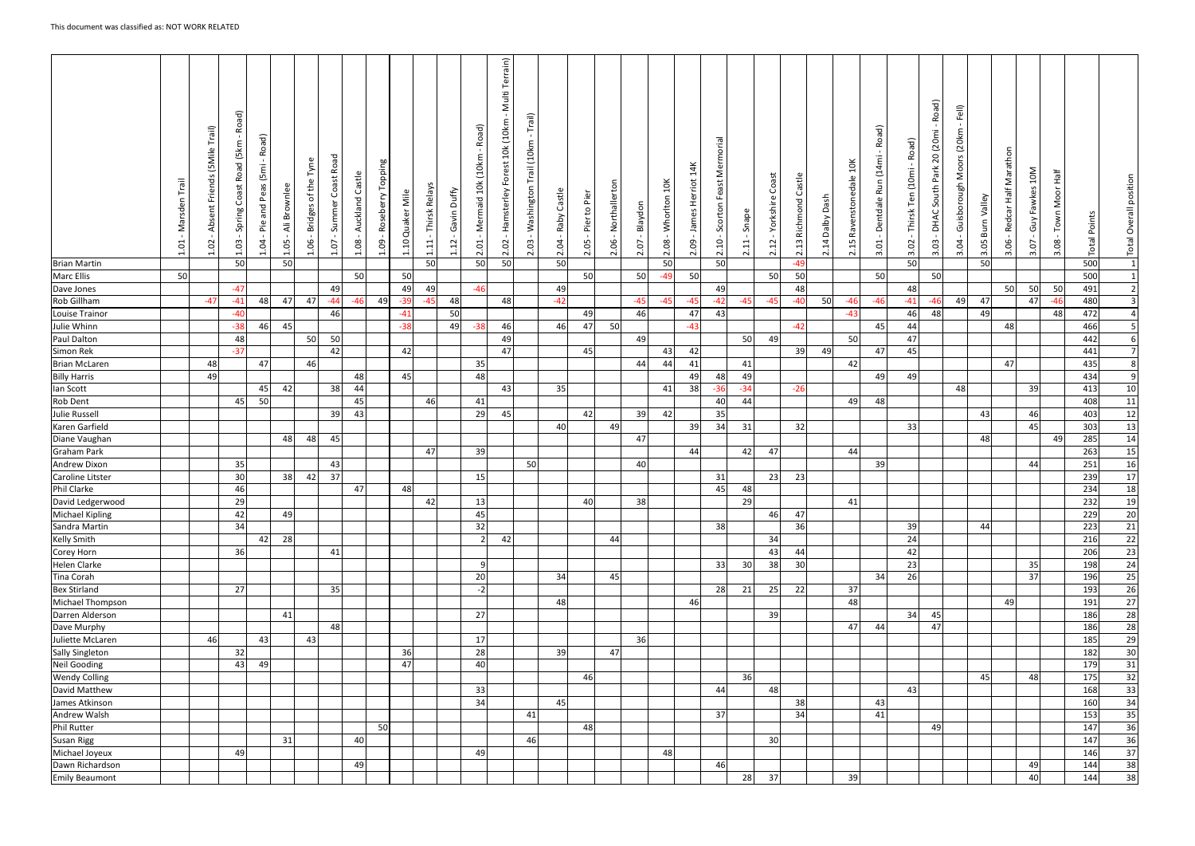|                                            | lie.<br>$\vdash$<br>5<br>Marsde<br>S.<br>$\overline{\phantom{0}}$ | Trail)<br>(5Mile<br>Friends<br>Absent<br>S<br>$\overline{\phantom{0}}$ | তি<br>Õ<br>≃<br>(5km<br>beo<br>$\propto$<br>$\cup$<br>Spring<br>ප | Road)<br>[5m]<br>Peas<br>and<br>$\frac{\omega}{\rho}$<br>1.04 | Brownlee<br>$\ddot{=}$<br>1.05 | $\mathbf \omega$<br>$\mathbbmss{D}$<br>ŧ<br>$\frac{1}{\sigma}$<br><b>Bridges</b><br>80.<br>$\overline{\phantom{0}}$ | Road<br>Coast I<br>Summer<br>1.07 | Castle<br>Auckland<br>$\blacksquare$<br>1.08 | auiddo.<br>Roseberry<br>eo.<br>$\vec{ }$ | Mile<br>Quaker<br>$\Xi$ | Thirsk Relays<br>$1.11\,$ | Duffy<br>Gavin<br>$\overline{5}$ | Road)<br>(10km)<br>$\frac{3}{2}$<br>Mermaid<br>ដូ<br>$\overline{N}$ | errain)<br>Multi<br>10k (10km<br>est<br>Ğ٦<br>Hamsterley<br>$\blacksquare$<br>S<br>$\sim$ | Trail)<br>(10km)<br>Trail<br>Washington<br>ප<br><br>$\sim$ | Castle<br>Raby<br>Ŕ.<br>$\overline{N}$ | Pier<br>$\mathfrak{c}_1$<br>Pier<br>පි<br>$\sim$ | Northallerton<br>$\mathbf{I}$<br>2.06 | Blaydon<br>ig.<br>$\overline{N}$ | 10K<br>Whorlton<br>$\overline{\text{08}}$<br>$\overline{N}$ | James Herriot 14K<br>$\mathbf{I}$<br>2.09 | Mermorial<br>Feast<br>Scorton<br>2.10 | Φ<br>$\Omega$<br>Sna<br>Ξ<br>$\sim$ | Coast<br>Yorkshire<br>$\overline{\phantom{a}}$<br>$\mathfrak{Z}$<br>$\overline{N}$ | Castle<br>Richmond<br>$\mathfrak{a}$<br>$\overline{\mathsf{N}}$ | Dash<br>Vqled<br>$\overline{4}$<br>$\overline{N}$ | $\frac{1}{2}$<br>Ravenstonedale<br>$\Xi$<br>$\dot{\sim}$ | Road)<br>(14 <sub>m</sub> )<br>Run<br>Dentdale<br>3.01 | Road)<br>$\mathbf{I}$<br>Ten (10mi<br>Thirsk <sup>-</sup><br>$\mathbf{I}$<br>3.02 | $\widehat{\sigma}$<br>Roa<br>- 1<br>(20mi)<br>20<br>Park<br>th<br>Š<br>DHAC<br>- 11<br>$\overline{c}$<br>$\overline{m}$ | Fell)<br>Moors (20km<br>Guisborough<br>3.04 | Burn Valley<br>3.05 | Marathon<br>Half<br>dcar<br>Re<br>පි<br>$\sim$ | 10M<br>Fawkes<br>Guy<br>Ċ.<br>$\sim$ | Half<br>Town Moor<br>3.08 | <b>Total Points</b> | Overall position<br>Total |
|--------------------------------------------|-------------------------------------------------------------------|------------------------------------------------------------------------|-------------------------------------------------------------------|---------------------------------------------------------------|--------------------------------|---------------------------------------------------------------------------------------------------------------------|-----------------------------------|----------------------------------------------|------------------------------------------|-------------------------|---------------------------|----------------------------------|---------------------------------------------------------------------|-------------------------------------------------------------------------------------------|------------------------------------------------------------|----------------------------------------|--------------------------------------------------|---------------------------------------|----------------------------------|-------------------------------------------------------------|-------------------------------------------|---------------------------------------|-------------------------------------|------------------------------------------------------------------------------------|-----------------------------------------------------------------|---------------------------------------------------|----------------------------------------------------------|--------------------------------------------------------|-----------------------------------------------------------------------------------|-------------------------------------------------------------------------------------------------------------------------|---------------------------------------------|---------------------|------------------------------------------------|--------------------------------------|---------------------------|---------------------|---------------------------|
| <b>Brian Martin</b>                        |                                                                   |                                                                        | 50                                                                |                                                               | 50                             |                                                                                                                     |                                   |                                              |                                          |                         | 50                        |                                  | 50                                                                  | 50                                                                                        |                                                            | 50                                     |                                                  |                                       |                                  | -50                                                         |                                           | 50                                    |                                     |                                                                                    | $-49$                                                           |                                                   |                                                          |                                                        | 50                                                                                |                                                                                                                         |                                             | 50                  |                                                |                                      |                           | 500                 | $\overline{1}$            |
| <b>Marc Ellis</b>                          | 50                                                                |                                                                        |                                                                   |                                                               |                                |                                                                                                                     |                                   | 50                                           |                                          | <b>50</b>               |                           |                                  |                                                                     |                                                                                           |                                                            |                                        | 50                                               |                                       | 50                               | $-49$                                                       | 50                                        |                                       |                                     | 50                                                                                 | 50                                                              |                                                   |                                                          | 50                                                     |                                                                                   | -50                                                                                                                     |                                             |                     |                                                |                                      |                           | 500                 | $\mathbf{1}$              |
| Dave Jones                                 |                                                                   |                                                                        | $-47$                                                             |                                                               |                                |                                                                                                                     | 49                                |                                              |                                          | 49                      | 49                        |                                  | $-46$                                                               |                                                                                           |                                                            | 49                                     |                                                  |                                       |                                  |                                                             |                                           | 49                                    |                                     |                                                                                    | 48                                                              |                                                   |                                                          |                                                        | 48                                                                                |                                                                                                                         |                                             |                     | <b>50</b>                                      | 50                                   | 50                        | 491                 | $\overline{2}$            |
| Rob Gillham                                |                                                                   | $-47$                                                                  | $-41$                                                             | 48                                                            | 47                             | 47                                                                                                                  | $-44$                             | $-46$                                        | 49                                       | $-39$                   | $-45$                     | 48                               |                                                                     | 48                                                                                        |                                                            | $-42$                                  |                                                  |                                       | $-45$                            | $-45$                                                       | $-45$                                     | $-42$                                 | $-4t$                               | $-45$                                                                              | $-40$                                                           | 50                                                | $-46$                                                    | -46                                                    | $-41$                                                                             | $-46$                                                                                                                   | 49                                          | 47                  |                                                | 47                                   | -46                       | 480                 | $\overline{\mathbf{3}}$   |
| Louise Trainor                             |                                                                   |                                                                        | $-40$                                                             |                                                               |                                |                                                                                                                     | 46                                |                                              |                                          | $-41$                   |                           | 50                               |                                                                     |                                                                                           |                                                            |                                        | 49                                               |                                       | 46                               |                                                             | 47                                        | 43                                    |                                     |                                                                                    |                                                                 |                                                   | $-43$                                                    |                                                        | 46                                                                                | 48                                                                                                                      |                                             | 49                  |                                                |                                      | 48                        | 472                 |                           |
| Julie Whinn                                |                                                                   |                                                                        | $-38$                                                             | 46                                                            | 45                             |                                                                                                                     |                                   |                                              |                                          | $-38$                   |                           | 49                               | $-38$                                                               | 46                                                                                        |                                                            | 46                                     | 47                                               | 50                                    |                                  |                                                             | $-43$                                     |                                       |                                     |                                                                                    | $-42$                                                           |                                                   |                                                          | 45                                                     | 44                                                                                |                                                                                                                         |                                             |                     | 48                                             |                                      |                           | 466                 |                           |
| Paul Dalton                                |                                                                   |                                                                        | 48                                                                |                                                               |                                | 50                                                                                                                  | 50                                |                                              |                                          |                         |                           |                                  |                                                                     | 49                                                                                        |                                                            |                                        |                                                  |                                       | 49                               |                                                             |                                           |                                       | <b>50</b>                           | 49                                                                                 |                                                                 |                                                   | -50                                                      |                                                        | 47                                                                                |                                                                                                                         |                                             |                     |                                                |                                      |                           | 442                 | 6 <sup>1</sup>            |
| Simon Rek                                  |                                                                   |                                                                        | $-37$                                                             |                                                               |                                |                                                                                                                     | 42                                |                                              |                                          | 42                      |                           |                                  |                                                                     | 47                                                                                        |                                                            |                                        | 45                                               |                                       |                                  | 43                                                          | 42                                        |                                       |                                     |                                                                                    | 39                                                              | 49                                                |                                                          | 47                                                     | 45                                                                                |                                                                                                                         |                                             |                     |                                                |                                      |                           | 441                 | $7 \frac{1}{2}$           |
| <b>Brian McLaren</b>                       |                                                                   | 48                                                                     |                                                                   | 47                                                            |                                | 46                                                                                                                  |                                   |                                              |                                          |                         |                           |                                  | 35                                                                  |                                                                                           |                                                            |                                        |                                                  |                                       | 44                               | 44                                                          | 41                                        |                                       | 41                                  |                                                                                    |                                                                 |                                                   | 42                                                       |                                                        |                                                                                   |                                                                                                                         |                                             |                     | 47                                             |                                      |                           | 435                 | 8                         |
| <b>Billy Harris</b>                        |                                                                   | 49                                                                     |                                                                   |                                                               |                                |                                                                                                                     |                                   | 48                                           |                                          | 45                      |                           |                                  | 48                                                                  |                                                                                           |                                                            |                                        |                                                  |                                       |                                  |                                                             | 49                                        | 48                                    | 49                                  |                                                                                    |                                                                 |                                                   |                                                          | 49                                                     | 49                                                                                |                                                                                                                         |                                             |                     |                                                |                                      |                           | 434                 | 9                         |
| lan Scott                                  |                                                                   |                                                                        |                                                                   | 45                                                            | 42                             |                                                                                                                     | 38                                | 44                                           |                                          |                         |                           |                                  |                                                                     | 43                                                                                        |                                                            | 35                                     |                                                  |                                       |                                  | 41                                                          | 38                                        | $-36$                                 | -34                                 |                                                                                    | $-26$                                                           |                                                   |                                                          |                                                        |                                                                                   |                                                                                                                         | 48                                          |                     |                                                | 39                                   |                           | 413                 | 10                        |
| Rob Dent                                   |                                                                   |                                                                        | 45                                                                | 50                                                            |                                |                                                                                                                     |                                   | 45                                           |                                          |                         | 46                        |                                  | 41                                                                  |                                                                                           |                                                            |                                        |                                                  |                                       |                                  |                                                             |                                           | 40                                    | 44                                  |                                                                                    |                                                                 |                                                   | 49                                                       | 48                                                     |                                                                                   |                                                                                                                         |                                             |                     |                                                |                                      |                           | 408                 | 11                        |
| <b>Julie Russell</b>                       |                                                                   |                                                                        |                                                                   |                                                               |                                |                                                                                                                     | 39                                | 43                                           |                                          |                         |                           |                                  | 29                                                                  | 45                                                                                        |                                                            |                                        | 42                                               |                                       | 39                               | 42                                                          |                                           | 35                                    |                                     |                                                                                    |                                                                 |                                                   |                                                          |                                                        |                                                                                   |                                                                                                                         |                                             | 43                  |                                                | 46                                   |                           | 403                 | 12                        |
| Karen Garfield                             |                                                                   |                                                                        |                                                                   |                                                               |                                |                                                                                                                     |                                   |                                              |                                          |                         |                           |                                  |                                                                     |                                                                                           |                                                            | 40                                     |                                                  | 49                                    |                                  |                                                             | 39                                        | 34                                    | 31                                  |                                                                                    | 32                                                              |                                                   |                                                          |                                                        | 33                                                                                |                                                                                                                         |                                             |                     |                                                | 45                                   |                           | 303                 | 13                        |
| Diane Vaughan                              |                                                                   |                                                                        |                                                                   |                                                               | 48                             | 48                                                                                                                  | 45                                |                                              |                                          |                         |                           |                                  |                                                                     |                                                                                           |                                                            |                                        |                                                  |                                       | 47                               |                                                             |                                           |                                       |                                     |                                                                                    |                                                                 |                                                   |                                                          |                                                        |                                                                                   |                                                                                                                         |                                             | 48                  |                                                |                                      | 49                        | 285                 | 14                        |
| <b>Graham Park</b>                         |                                                                   |                                                                        |                                                                   |                                                               |                                |                                                                                                                     |                                   |                                              |                                          |                         | 47                        |                                  | 39                                                                  |                                                                                           |                                                            |                                        |                                                  |                                       |                                  |                                                             | 44                                        |                                       | 42                                  | 47                                                                                 |                                                                 |                                                   | 44                                                       |                                                        |                                                                                   |                                                                                                                         |                                             |                     |                                                |                                      |                           | 263                 | 15                        |
| Andrew Dixon                               |                                                                   |                                                                        | 35                                                                |                                                               |                                |                                                                                                                     | 43                                |                                              |                                          |                         |                           |                                  |                                                                     |                                                                                           | 50                                                         |                                        |                                                  |                                       | 40                               |                                                             |                                           |                                       |                                     |                                                                                    |                                                                 |                                                   |                                                          | 39                                                     |                                                                                   |                                                                                                                         |                                             |                     |                                                | 44                                   |                           | 251                 | 16                        |
| Caroline Litster                           |                                                                   |                                                                        | 30                                                                |                                                               | 38                             | 42                                                                                                                  | 37                                |                                              |                                          |                         |                           |                                  | 15                                                                  |                                                                                           |                                                            |                                        |                                                  |                                       |                                  |                                                             |                                           | 31                                    |                                     | 23                                                                                 | 23                                                              |                                                   |                                                          |                                                        |                                                                                   |                                                                                                                         |                                             |                     |                                                |                                      |                           | 239                 | 17                        |
| Phil Clarke                                |                                                                   |                                                                        | 46                                                                |                                                               |                                |                                                                                                                     |                                   | 47                                           |                                          | 48                      |                           |                                  |                                                                     |                                                                                           |                                                            |                                        |                                                  |                                       |                                  |                                                             |                                           | 45                                    | 48                                  |                                                                                    |                                                                 |                                                   |                                                          |                                                        |                                                                                   |                                                                                                                         |                                             |                     |                                                |                                      |                           | 234                 | 18                        |
|                                            |                                                                   |                                                                        | 29                                                                |                                                               |                                |                                                                                                                     |                                   |                                              |                                          |                         | 42                        |                                  | 13 <sup>l</sup>                                                     |                                                                                           |                                                            |                                        | 40 <sup>1</sup>                                  |                                       | 38 <sup>1</sup>                  |                                                             |                                           |                                       | 29I                                 |                                                                                    |                                                                 |                                                   | 41                                                       |                                                        |                                                                                   |                                                                                                                         |                                             |                     |                                                |                                      |                           | 232                 | 19                        |
| David Ledgerwood<br><b>Michael Kipling</b> |                                                                   |                                                                        | 42                                                                |                                                               | 49                             |                                                                                                                     |                                   |                                              |                                          |                         |                           |                                  | 45                                                                  |                                                                                           |                                                            |                                        |                                                  |                                       |                                  |                                                             |                                           |                                       |                                     | 46                                                                                 | 47                                                              |                                                   |                                                          |                                                        |                                                                                   |                                                                                                                         |                                             |                     |                                                |                                      |                           | 229                 |                           |
|                                            |                                                                   |                                                                        |                                                                   |                                                               |                                |                                                                                                                     |                                   |                                              |                                          |                         |                           |                                  |                                                                     |                                                                                           |                                                            |                                        |                                                  |                                       |                                  |                                                             |                                           |                                       |                                     |                                                                                    |                                                                 |                                                   |                                                          |                                                        |                                                                                   |                                                                                                                         |                                             |                     |                                                |                                      |                           |                     | 20                        |
| Sandra Martin                              |                                                                   |                                                                        | 34                                                                |                                                               | 28                             |                                                                                                                     |                                   |                                              |                                          |                         |                           |                                  | 32                                                                  | 42                                                                                        |                                                            |                                        |                                                  |                                       |                                  |                                                             |                                           | 38                                    |                                     |                                                                                    | <b>36</b>                                                       |                                                   |                                                          |                                                        | 39                                                                                |                                                                                                                         |                                             | 44                  |                                                |                                      |                           | 223                 | 21                        |
| <b>Kelly Smith</b>                         |                                                                   |                                                                        |                                                                   | 42                                                            |                                |                                                                                                                     |                                   |                                              |                                          |                         |                           |                                  |                                                                     |                                                                                           |                                                            |                                        |                                                  | 44                                    |                                  |                                                             |                                           |                                       |                                     | 34                                                                                 |                                                                 |                                                   |                                                          |                                                        | 24                                                                                |                                                                                                                         |                                             |                     |                                                |                                      |                           | 216                 | 22                        |
| Corey Horn                                 |                                                                   |                                                                        | 36                                                                |                                                               |                                |                                                                                                                     | 41                                |                                              |                                          |                         |                           |                                  |                                                                     |                                                                                           |                                                            |                                        |                                                  |                                       |                                  |                                                             |                                           |                                       |                                     | 43                                                                                 | 44                                                              |                                                   |                                                          |                                                        | 42                                                                                |                                                                                                                         |                                             |                     |                                                |                                      |                           | 206                 | 23                        |
| <b>Helen Clarke</b>                        |                                                                   |                                                                        |                                                                   |                                                               |                                |                                                                                                                     |                                   |                                              |                                          |                         |                           |                                  | -9                                                                  |                                                                                           |                                                            |                                        |                                                  |                                       |                                  |                                                             |                                           | 33                                    | 30 <sup>l</sup>                     | 38                                                                                 | 30                                                              |                                                   |                                                          |                                                        | 23                                                                                |                                                                                                                         |                                             |                     |                                                | 35                                   |                           | 198                 | 24                        |
| Tina Corah                                 |                                                                   |                                                                        |                                                                   |                                                               |                                |                                                                                                                     |                                   |                                              |                                          |                         |                           |                                  | 20                                                                  |                                                                                           |                                                            | 34                                     |                                                  | 45                                    |                                  |                                                             |                                           |                                       |                                     |                                                                                    |                                                                 |                                                   |                                                          | 34                                                     | 26                                                                                |                                                                                                                         |                                             |                     |                                                | 37                                   |                           | 196                 | 25                        |
| <b>Bex Stirland</b>                        |                                                                   |                                                                        | 27                                                                |                                                               |                                |                                                                                                                     | 35                                |                                              |                                          |                         |                           |                                  | $-2$                                                                |                                                                                           |                                                            |                                        |                                                  |                                       |                                  |                                                             |                                           | 28                                    | 21                                  | 25                                                                                 | 22                                                              |                                                   | 37                                                       |                                                        |                                                                                   |                                                                                                                         |                                             |                     |                                                |                                      |                           | 193                 | 26                        |
| Michael Thompson                           |                                                                   |                                                                        |                                                                   |                                                               |                                |                                                                                                                     |                                   |                                              |                                          |                         |                           |                                  |                                                                     |                                                                                           |                                                            | 48                                     |                                                  |                                       |                                  |                                                             | 46                                        |                                       |                                     |                                                                                    |                                                                 |                                                   | 48                                                       |                                                        |                                                                                   |                                                                                                                         |                                             |                     | 49                                             |                                      |                           | 191                 | 27                        |
| Darren Alderson                            |                                                                   |                                                                        |                                                                   |                                                               | 41                             |                                                                                                                     |                                   |                                              |                                          |                         |                           |                                  | 27                                                                  |                                                                                           |                                                            |                                        |                                                  |                                       |                                  |                                                             |                                           |                                       |                                     | 39                                                                                 |                                                                 |                                                   |                                                          |                                                        | 34                                                                                | -45                                                                                                                     |                                             |                     |                                                |                                      |                           | 186                 | 28                        |
| Dave Murphy                                |                                                                   |                                                                        |                                                                   |                                                               |                                |                                                                                                                     | 48                                |                                              |                                          |                         |                           |                                  |                                                                     |                                                                                           |                                                            |                                        |                                                  |                                       |                                  |                                                             |                                           |                                       |                                     |                                                                                    |                                                                 |                                                   | 47                                                       | 44                                                     |                                                                                   | 47                                                                                                                      |                                             |                     |                                                |                                      |                           | 186                 | 28                        |
| Juliette McLaren                           |                                                                   | 46                                                                     |                                                                   | 43                                                            |                                | 43                                                                                                                  |                                   |                                              |                                          |                         |                           |                                  | 17                                                                  |                                                                                           |                                                            |                                        |                                                  |                                       | 36                               |                                                             |                                           |                                       |                                     |                                                                                    |                                                                 |                                                   |                                                          |                                                        |                                                                                   |                                                                                                                         |                                             |                     |                                                |                                      |                           | 185                 | 29                        |
| Sally Singleton                            |                                                                   |                                                                        | 32                                                                |                                                               |                                |                                                                                                                     |                                   |                                              |                                          | 36                      |                           |                                  | 28                                                                  |                                                                                           |                                                            | 39                                     |                                                  | 47                                    |                                  |                                                             |                                           |                                       |                                     |                                                                                    |                                                                 |                                                   |                                                          |                                                        |                                                                                   |                                                                                                                         |                                             |                     |                                                |                                      |                           | 182                 | 30                        |
| <b>Neil Gooding</b>                        |                                                                   |                                                                        | 43                                                                | 49                                                            |                                |                                                                                                                     |                                   |                                              |                                          | 47                      |                           |                                  | 40                                                                  |                                                                                           |                                                            |                                        |                                                  |                                       |                                  |                                                             |                                           |                                       |                                     |                                                                                    |                                                                 |                                                   |                                                          |                                                        |                                                                                   |                                                                                                                         |                                             |                     |                                                |                                      |                           | 179                 | 31                        |
| <b>Wendy Colling</b>                       |                                                                   |                                                                        |                                                                   |                                                               |                                |                                                                                                                     |                                   |                                              |                                          |                         |                           |                                  |                                                                     |                                                                                           |                                                            |                                        | 46                                               |                                       |                                  |                                                             |                                           |                                       | 36                                  |                                                                                    |                                                                 |                                                   |                                                          |                                                        |                                                                                   |                                                                                                                         |                                             | 45                  |                                                | 48                                   |                           | 175                 | 32                        |
| David Matthew                              |                                                                   |                                                                        |                                                                   |                                                               |                                |                                                                                                                     |                                   |                                              |                                          |                         |                           |                                  | 33                                                                  |                                                                                           |                                                            |                                        |                                                  |                                       |                                  |                                                             |                                           | 44                                    |                                     | 48                                                                                 |                                                                 |                                                   |                                                          |                                                        | 43                                                                                |                                                                                                                         |                                             |                     |                                                |                                      |                           | 168                 | 33                        |
| James Atkinson                             |                                                                   |                                                                        |                                                                   |                                                               |                                |                                                                                                                     |                                   |                                              |                                          |                         |                           |                                  | 34                                                                  |                                                                                           |                                                            | 45                                     |                                                  |                                       |                                  |                                                             |                                           |                                       |                                     |                                                                                    | 38 <sup>l</sup>                                                 |                                                   |                                                          | 43                                                     |                                                                                   |                                                                                                                         |                                             |                     |                                                |                                      |                           | 160                 | 34                        |
| Andrew Walsh                               |                                                                   |                                                                        |                                                                   |                                                               |                                |                                                                                                                     |                                   |                                              |                                          |                         |                           |                                  |                                                                     |                                                                                           | 41                                                         |                                        |                                                  |                                       |                                  |                                                             |                                           | 37                                    |                                     |                                                                                    | 34                                                              |                                                   |                                                          | 41                                                     |                                                                                   |                                                                                                                         |                                             |                     |                                                |                                      |                           | 153                 | 35                        |
| <b>Phil Rutter</b>                         |                                                                   |                                                                        |                                                                   |                                                               |                                |                                                                                                                     |                                   |                                              | 50                                       |                         |                           |                                  |                                                                     |                                                                                           |                                                            |                                        | 48                                               |                                       |                                  |                                                             |                                           |                                       |                                     |                                                                                    |                                                                 |                                                   |                                                          |                                                        |                                                                                   | 49                                                                                                                      |                                             |                     |                                                |                                      |                           | 147                 | 36                        |
| <b>Susan Rigg</b>                          |                                                                   |                                                                        |                                                                   |                                                               |                                |                                                                                                                     |                                   |                                              |                                          |                         |                           |                                  |                                                                     |                                                                                           | 46                                                         |                                        |                                                  |                                       |                                  |                                                             |                                           |                                       |                                     | 30                                                                                 |                                                                 |                                                   |                                                          |                                                        |                                                                                   |                                                                                                                         |                                             |                     |                                                |                                      |                           | 147                 | 36                        |
|                                            |                                                                   |                                                                        |                                                                   |                                                               | 31                             |                                                                                                                     |                                   | 40                                           |                                          |                         |                           |                                  |                                                                     |                                                                                           |                                                            |                                        |                                                  |                                       |                                  |                                                             |                                           |                                       |                                     |                                                                                    |                                                                 |                                                   |                                                          |                                                        |                                                                                   |                                                                                                                         |                                             |                     |                                                |                                      |                           |                     |                           |
| Michael Joyeux                             |                                                                   |                                                                        | 49                                                                |                                                               |                                |                                                                                                                     |                                   |                                              |                                          |                         |                           |                                  | 49                                                                  |                                                                                           |                                                            |                                        |                                                  |                                       |                                  | 48                                                          |                                           |                                       |                                     |                                                                                    |                                                                 |                                                   |                                                          |                                                        |                                                                                   |                                                                                                                         |                                             |                     |                                                |                                      |                           | 146                 | 37                        |
| Dawn Richardson                            |                                                                   |                                                                        |                                                                   |                                                               |                                |                                                                                                                     |                                   | 49                                           |                                          |                         |                           |                                  |                                                                     |                                                                                           |                                                            |                                        |                                                  |                                       |                                  |                                                             |                                           | 46                                    |                                     |                                                                                    |                                                                 |                                                   |                                                          |                                                        |                                                                                   |                                                                                                                         |                                             |                     |                                                | 49                                   |                           | 144<br>144          | 38<br>38                  |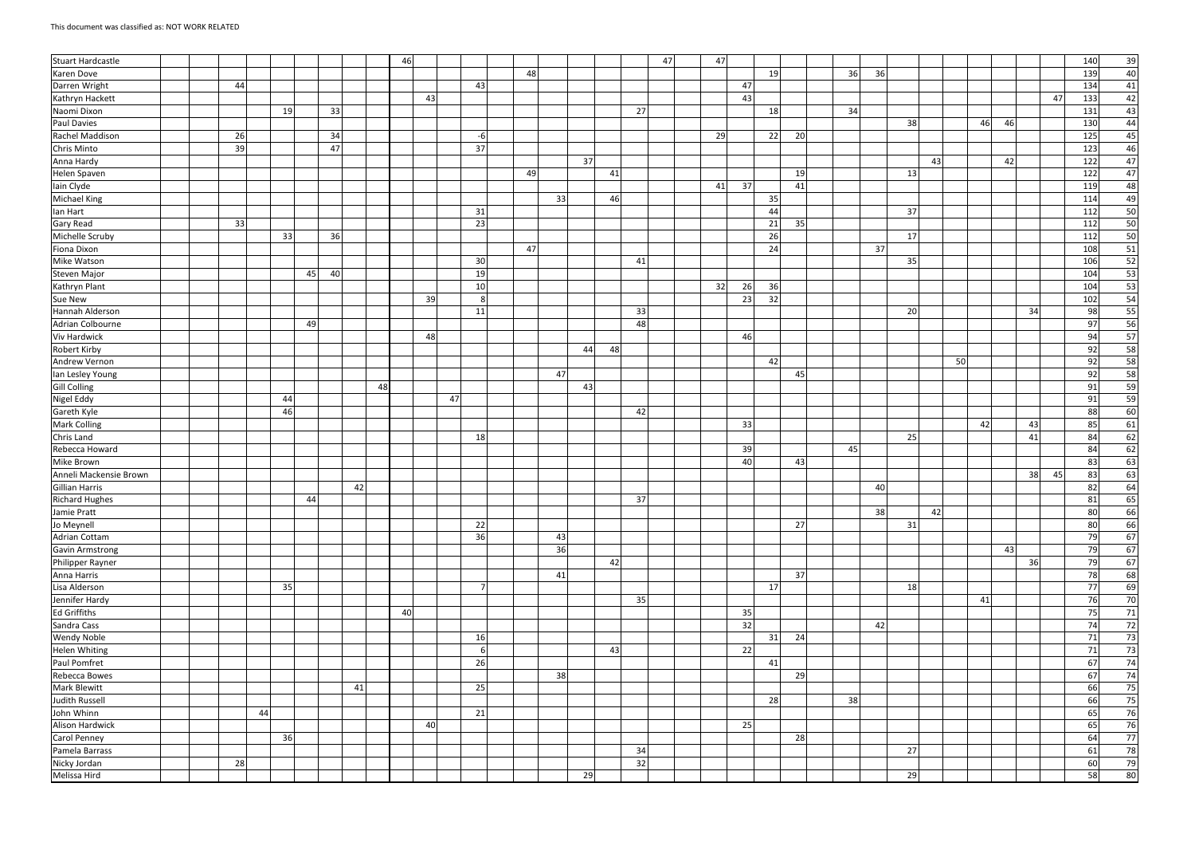| Stuart Hardcastle                |  |           |    |    |    |    |    | 46 |    |    |                |    |    |    |    |    | 47 | 47 |    |    |    |    |    |    |    |    |    |    |    |    | 140 | 39 |
|----------------------------------|--|-----------|----|----|----|----|----|----|----|----|----------------|----|----|----|----|----|----|----|----|----|----|----|----|----|----|----|----|----|----|----|-----|----|
| Karen Dove                       |  |           |    |    |    |    |    |    |    |    |                | 48 |    |    |    |    |    |    |    | 19 |    | 36 | 36 |    |    |    |    |    |    |    | 139 | 40 |
| Darren Wright                    |  | 44        |    |    |    |    |    |    |    |    | 43             |    |    |    |    |    |    |    | 47 |    |    |    |    |    |    |    |    |    |    |    | 134 | 41 |
| Kathryn Hackett                  |  |           |    |    |    |    |    |    | 43 |    |                |    |    |    |    |    |    |    | 43 |    |    |    |    |    |    |    |    |    |    | 47 | 133 | 42 |
| Naomi Dixon                      |  |           | 19 |    | 33 |    |    |    |    |    |                |    |    |    |    | 27 |    |    |    | 18 |    | 34 |    |    |    |    |    |    |    |    | 131 | 43 |
| Paul Davies                      |  |           |    |    |    |    |    |    |    |    |                |    |    |    |    |    |    |    |    |    |    |    |    | 38 |    |    | 46 | 46 |    |    | 130 | 44 |
| Rachel Maddison                  |  | <b>26</b> |    |    | 34 |    |    |    |    |    | $-6$           |    |    |    |    |    |    | 29 |    | 22 | 20 |    |    |    |    |    |    |    |    |    | 125 | 45 |
| Chris Minto                      |  | 39        |    |    | 47 |    |    |    |    |    | 37             |    |    |    |    |    |    |    |    |    |    |    |    |    |    |    |    |    |    |    | 123 | 46 |
| Anna Hardy                       |  |           |    |    |    |    |    |    |    |    |                |    |    | 37 |    |    |    |    |    |    |    |    |    |    | 43 |    |    | 42 |    |    | 122 | 47 |
| Helen Spaven                     |  |           |    |    |    |    |    |    |    |    |                | 49 |    |    | 41 |    |    |    |    |    | 19 |    |    | 13 |    |    |    |    |    |    | 122 | 47 |
| lain Clyde                       |  |           |    |    |    |    |    |    |    |    |                |    |    |    |    |    |    | 41 | 37 |    | 41 |    |    |    |    |    |    |    |    |    | 119 | 48 |
| Michael King                     |  |           |    |    |    |    |    |    |    |    |                |    | 33 |    | 46 |    |    |    |    | 35 |    |    |    |    |    |    |    |    |    |    | 114 | 49 |
| lan Hart                         |  |           |    |    |    |    |    |    |    |    | 31             |    |    |    |    |    |    |    |    | 44 |    |    |    | 37 |    |    |    |    |    |    | 112 | 50 |
| Gary Read                        |  | 33        |    |    |    |    |    |    |    |    | 23             |    |    |    |    |    |    |    |    | 21 | 35 |    |    |    |    |    |    |    |    |    | 112 | 50 |
| Michelle Scruby                  |  |           | 33 |    | 36 |    |    |    |    |    |                |    |    |    |    |    |    |    |    | 26 |    |    |    | 17 |    |    |    |    |    |    | 112 | 50 |
| Fiona Dixon                      |  |           |    |    |    |    |    |    |    |    |                | 47 |    |    |    |    |    |    |    | 24 |    |    | 37 |    |    |    |    |    |    |    | 108 | 51 |
| Mike Watson                      |  |           |    |    |    |    |    |    |    |    | 30             |    |    |    |    | 41 |    |    |    |    |    |    |    | 35 |    |    |    |    |    |    | 106 | 52 |
| Steven Major                     |  |           |    | 45 | 40 |    |    |    |    |    | 19             |    |    |    |    |    |    |    |    |    |    |    |    |    |    |    |    |    |    |    | 104 | 53 |
| Kathryn Plant                    |  |           |    |    |    |    |    |    |    |    | 10             |    |    |    |    |    |    | 32 | 26 | 36 |    |    |    |    |    |    |    |    |    |    | 104 | 53 |
| Sue New                          |  |           |    |    |    |    |    |    | 39 |    | -8             |    |    |    |    |    |    |    | 23 | 32 |    |    |    |    |    |    |    |    |    |    | 102 | 54 |
| Hannah Alderson                  |  |           |    |    |    |    |    |    |    |    | 11             |    |    |    |    | 33 |    |    |    |    |    |    |    | 20 |    |    |    |    | 34 |    | 98  | 55 |
| Adrian Colbourne                 |  |           |    | 49 |    |    |    |    |    |    |                |    |    |    |    | 48 |    |    |    |    |    |    |    |    |    |    |    |    |    |    | 97  | 56 |
| Viv Hardwick                     |  |           |    |    |    |    |    |    | 48 |    |                |    |    |    |    |    |    |    | 46 |    |    |    |    |    |    |    |    |    |    |    | 94  | 57 |
| <b>Robert Kirby</b>              |  |           |    |    |    |    |    |    |    |    |                |    |    | 44 | 48 |    |    |    |    |    |    |    |    |    |    |    |    |    |    |    | 92  | 58 |
| Andrew Vernon                    |  |           |    |    |    |    |    |    |    |    |                |    |    |    |    |    |    |    |    | 42 |    |    |    |    |    | 50 |    |    |    |    | 92  | 58 |
| Ian Lesley Young                 |  |           |    |    |    |    |    |    |    |    |                |    | 47 |    |    |    |    |    |    |    | 45 |    |    |    |    |    |    |    |    |    | 92  | 58 |
| Gill Colling                     |  |           |    |    |    |    | 48 |    |    |    |                |    |    | 43 |    |    |    |    |    |    |    |    |    |    |    |    |    |    |    |    | 91  | 59 |
| <b>Nigel Eddy</b>                |  |           | 44 |    |    |    |    |    |    | 47 |                |    |    |    |    |    |    |    |    |    |    |    |    |    |    |    |    |    |    |    | 91  | 59 |
| Gareth Kyle                      |  |           | 46 |    |    |    |    |    |    |    |                |    |    |    |    | 42 |    |    |    |    |    |    |    |    |    |    |    |    |    |    | 88  | 60 |
| <b>Mark Colling</b>              |  |           |    |    |    |    |    |    |    |    |                |    |    |    |    |    |    |    | 33 |    |    |    |    |    |    |    | 42 |    | 43 |    | 85  | 61 |
| Chris Land                       |  |           |    |    |    |    |    |    |    |    | 18             |    |    |    |    |    |    |    |    |    |    |    |    | 25 |    |    |    |    | 41 |    | 84  | 62 |
| Rebecca Howard                   |  |           |    |    |    |    |    |    |    |    |                |    |    |    |    |    |    |    | 39 |    |    | 45 |    |    |    |    |    |    |    |    | 84  | 62 |
| Mike Brown                       |  |           |    |    |    |    |    |    |    |    |                |    |    |    |    |    |    |    | 40 |    | 43 |    |    |    |    |    |    |    |    |    | 83  | 63 |
| Anneli Mackensie Brown           |  |           |    |    |    |    |    |    |    |    |                |    |    |    |    |    |    |    |    |    |    |    |    |    |    |    |    |    | 38 | 45 | 83  | 63 |
| Gillian Harris<br>Richard Hughes |  |           |    |    |    | 42 |    |    |    |    |                |    |    |    |    |    |    |    |    |    |    |    | 40 |    |    |    |    |    |    |    | 82  | 64 |
|                                  |  |           |    | 44 |    |    |    |    |    |    |                |    |    |    |    | 37 |    |    |    |    |    |    |    |    |    |    |    |    |    |    | 81  | 65 |
| Jamie Pratt                      |  |           |    |    |    |    |    |    |    |    |                |    |    |    |    |    |    |    |    |    |    |    | 38 |    | 42 |    |    |    |    |    | 80  | 66 |
| Jo Meynell                       |  |           |    |    |    |    |    |    |    |    | 22             |    |    |    |    |    |    |    |    |    | 27 |    |    | 31 |    |    |    |    |    |    | 80  | 66 |
| Adrian Cottam                    |  |           |    |    |    |    |    |    |    |    | 36             |    | 43 |    |    |    |    |    |    |    |    |    |    |    |    |    |    |    |    |    | 79  | 67 |
| Gavin Armstrong                  |  |           |    |    |    |    |    |    |    |    |                |    | 36 |    |    |    |    |    |    |    |    |    |    |    |    |    |    | 43 |    |    | 79  | 67 |
| Philipper Rayner                 |  |           |    |    |    |    |    |    |    |    |                |    |    |    | 42 |    |    |    |    |    |    |    |    |    |    |    |    |    | 36 |    | 79  | 67 |
| Anna Harris                      |  |           |    |    |    |    |    |    |    |    |                |    | 41 |    |    |    |    |    |    |    | 37 |    |    |    |    |    |    |    |    |    | 78  | 68 |
| Lisa Alderson                    |  |           | 35 |    |    |    |    |    |    |    | $\overline{7}$ |    |    |    |    |    |    |    |    | 17 |    |    |    | 18 |    |    |    |    |    |    | 77  | 69 |
| Jennifer Hardy                   |  |           |    |    |    |    |    |    |    |    |                |    |    |    |    | 35 |    |    |    |    |    |    |    |    |    |    | 41 |    |    |    | 76  | 70 |
| <b>Ed Griffiths</b>              |  |           |    |    |    |    |    | 40 |    |    |                |    |    |    |    |    |    |    | 35 |    |    |    |    |    |    |    |    |    |    |    | 75  | 71 |
| Sandra Cass                      |  |           |    |    |    |    |    |    |    |    |                |    |    |    |    |    |    |    | 32 |    |    |    | 42 |    |    |    |    |    |    |    | 74  | 72 |
| Wendy Noble                      |  |           |    |    |    |    |    |    |    |    | 16             |    |    |    |    |    |    |    |    | 31 | 24 |    |    |    |    |    |    |    |    |    | 71  | 73 |
| <b>Helen Whiting</b>             |  |           |    |    |    |    |    |    |    |    | -6             |    |    |    | 43 |    |    |    | 22 |    |    |    |    |    |    |    |    |    |    |    | 71  | 73 |
| Paul Pomfret                     |  |           |    |    |    |    |    |    |    |    | 26             |    |    |    |    |    |    |    |    | 41 |    |    |    |    |    |    |    |    |    |    | 67  | 74 |
| Rebecca Bowes                    |  |           |    |    |    |    |    |    |    |    |                |    | 38 |    |    |    |    |    |    |    | 29 |    |    |    |    |    |    |    |    |    | 67  | 74 |
| <b>Mark Blewitt</b>              |  |           |    |    |    | 41 |    |    |    |    | 25             |    |    |    |    |    |    |    |    |    |    |    |    |    |    |    |    |    |    |    | 66  | 75 |
| Judith Russell                   |  |           |    |    |    |    |    |    |    |    |                |    |    |    |    |    |    |    |    | 28 |    | 38 |    |    |    |    |    |    |    |    | 66  | 75 |
| John Whinn                       |  | 44        |    |    |    |    |    |    |    |    | 21             |    |    |    |    |    |    |    |    |    |    |    |    |    |    |    |    |    |    |    | 65  | 76 |
| Alison Hardwick                  |  |           |    |    |    |    |    |    | 40 |    |                |    |    |    |    |    |    |    | 25 |    |    |    |    |    |    |    |    |    |    |    | 65  | 76 |
| <b>Carol Penney</b>              |  |           | 36 |    |    |    |    |    |    |    |                |    |    |    |    |    |    |    |    |    | 28 |    |    |    |    |    |    |    |    |    | 64  | 77 |
| Pamela Barrass                   |  |           |    |    |    |    |    |    |    |    |                |    |    |    |    | 34 |    |    |    |    |    |    |    | 27 |    |    |    |    |    |    | 61  | 78 |
| Nicky Jordan                     |  | 28        |    |    |    |    |    |    |    |    |                |    |    |    |    | 32 |    |    |    |    |    |    |    |    |    |    |    |    |    |    | 60  | 79 |
| Melissa Hird                     |  |           |    |    |    |    |    |    |    |    |                |    |    | 29 |    |    |    |    |    |    |    |    |    | 29 |    |    |    |    |    |    | 58  | 80 |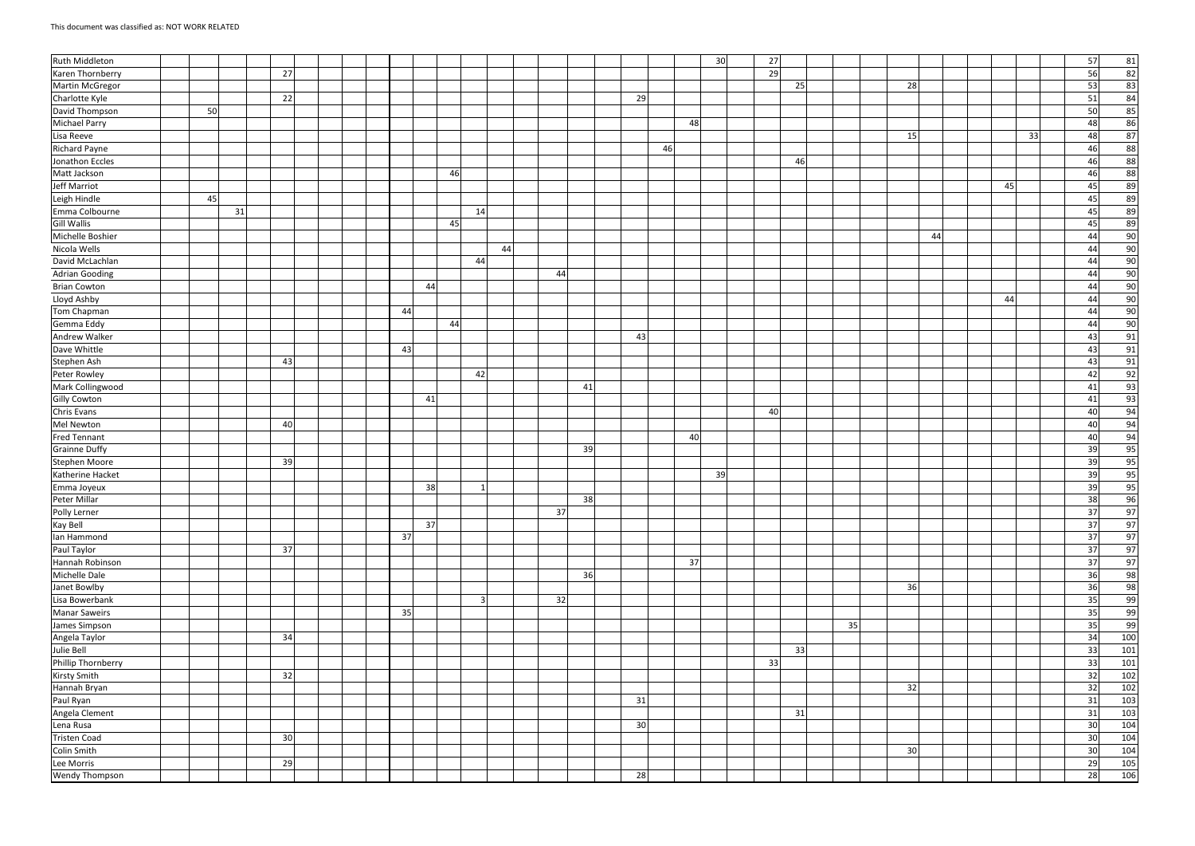| <b>Ruth Middleton</b>       |    |    |                 |  |  |    |    |    |    |    |    |    |    |    |    | 30 | 27 |    |    |    |    |  |    |    | 57              | 81    |  |
|-----------------------------|----|----|-----------------|--|--|----|----|----|----|----|----|----|----|----|----|----|----|----|----|----|----|--|----|----|-----------------|-------|--|
| Karen Thornberry            |    |    | 27              |  |  |    |    |    |    |    |    |    |    |    |    |    | 29 |    |    |    |    |  |    |    | 56              | 82    |  |
| Martin McGregor             |    |    |                 |  |  |    |    |    |    |    |    |    |    |    |    |    |    | 25 |    | 28 |    |  |    |    | 53              | 83    |  |
| Charlotte Kyle              |    |    | 22              |  |  |    |    |    |    |    |    |    | 29 |    |    |    |    |    |    |    |    |  |    |    | 51              | 84    |  |
| David Thompson              | 50 |    |                 |  |  |    |    |    |    |    |    |    |    |    |    |    |    |    |    |    |    |  |    |    | 50              | 85    |  |
| Michael Parry               |    |    |                 |  |  |    |    |    |    |    |    |    |    |    | 48 |    |    |    |    |    |    |  |    |    | 48              | 86    |  |
| Lisa Reeve                  |    |    |                 |  |  |    |    |    |    |    |    |    |    |    |    |    |    |    |    | 15 |    |  |    | 33 | 48              | 87    |  |
| <b>Richard Payne</b>        |    |    |                 |  |  |    |    |    |    |    |    |    |    | 46 |    |    |    |    |    |    |    |  |    |    | 46              | 88    |  |
| Jonathon Eccles             |    |    |                 |  |  |    |    |    |    |    |    |    |    |    |    |    |    | 46 |    |    |    |  |    |    | 46              | 88    |  |
| Matt Jackson                |    |    |                 |  |  |    |    | 46 |    |    |    |    |    |    |    |    |    |    |    |    |    |  |    |    | 46              | 88    |  |
| <b>Jeff Marriot</b>         |    |    |                 |  |  |    |    |    |    |    |    |    |    |    |    |    |    |    |    |    |    |  | 45 |    | 45              | 89    |  |
| Leigh Hindle                | 45 |    |                 |  |  |    |    |    |    |    |    |    |    |    |    |    |    |    |    |    |    |  |    |    | 45              | 89    |  |
| Emma Colbourne              |    | 31 |                 |  |  |    |    |    | 14 |    |    |    |    |    |    |    |    |    |    |    |    |  |    |    | 45              | 89    |  |
| <b>Gill Wallis</b>          |    |    |                 |  |  |    |    | 45 |    |    |    |    |    |    |    |    |    |    |    |    |    |  |    |    | 45              | 89    |  |
| Michelle Boshier            |    |    |                 |  |  |    |    |    |    |    |    |    |    |    |    |    |    |    |    |    | 44 |  |    |    | 44              | 90    |  |
| Nicola Wells                |    |    |                 |  |  |    |    |    |    | 44 |    |    |    |    |    |    |    |    |    |    |    |  |    |    | 44              | 90    |  |
| David McLachlan             |    |    |                 |  |  |    |    |    | 44 |    |    |    |    |    |    |    |    |    |    |    |    |  |    |    | 44              | 90    |  |
| <b>Adrian Gooding</b>       |    |    |                 |  |  |    |    |    |    |    | 44 |    |    |    |    |    |    |    |    |    |    |  |    |    | 44              | 90    |  |
| <b>Brian Cowton</b>         |    |    |                 |  |  |    | 44 |    |    |    |    |    |    |    |    |    |    |    |    |    |    |  |    |    | 44              | 90    |  |
| Lloyd Ashby                 |    |    |                 |  |  |    |    |    |    |    |    |    |    |    |    |    |    |    |    |    |    |  | 44 |    | 44              | 90    |  |
| Tom Chapman                 |    |    |                 |  |  | 44 |    |    |    |    |    |    |    |    |    |    |    |    |    |    |    |  |    |    | 44              | 90    |  |
| Gemma Eddy                  |    |    |                 |  |  |    |    | 44 |    |    |    |    |    |    |    |    |    |    |    |    |    |  |    |    | 44              | 90    |  |
| Andrew Walker               |    |    |                 |  |  |    |    |    |    |    |    |    | 43 |    |    |    |    |    |    |    |    |  |    |    | 43              | 91    |  |
| Dave Whittle                |    |    |                 |  |  | 43 |    |    |    |    |    |    |    |    |    |    |    |    |    |    |    |  |    |    | 43              | 91    |  |
| Stephen Ash                 |    |    | 43              |  |  |    |    |    |    |    |    |    |    |    |    |    |    |    |    |    |    |  |    |    | 43              | 91    |  |
| Peter Rowley                |    |    |                 |  |  |    |    |    | 42 |    |    |    |    |    |    |    |    |    |    |    |    |  |    |    | 42              | 92    |  |
| Mark Collingwood            |    |    |                 |  |  |    |    |    |    |    |    | 41 |    |    |    |    |    |    |    |    |    |  |    |    | 41              | 93    |  |
| <b>Gilly Cowton</b>         |    |    |                 |  |  |    | 41 |    |    |    |    |    |    |    |    |    |    |    |    |    |    |  |    |    | 41              | 93    |  |
| Chris Evans                 |    |    |                 |  |  |    |    |    |    |    |    |    |    |    |    |    | 40 |    |    |    |    |  |    |    | 40              | 94    |  |
| Mel Newton                  |    |    | 40              |  |  |    |    |    |    |    |    |    |    |    |    |    |    |    |    |    |    |  |    |    | 40              | 94    |  |
| Fred Tennant                |    |    |                 |  |  |    |    |    |    |    |    |    |    |    | 40 |    |    |    |    |    |    |  |    |    | 40              | 94    |  |
| Grainne Duffy               |    |    |                 |  |  |    |    |    |    |    |    | 39 |    |    |    |    |    |    |    |    |    |  |    |    | 39              | 95    |  |
| Stephen Moore               |    |    | 39              |  |  |    |    |    |    |    |    |    |    |    |    |    |    |    |    |    |    |  |    |    | 39              | 95    |  |
| Katherine Hacket            |    |    |                 |  |  |    |    |    |    |    |    |    |    |    |    | 39 |    |    |    |    |    |  |    |    | 39              | 95    |  |
| Emma Joyeux<br>Peter Millar |    |    |                 |  |  |    | 38 |    |    |    |    |    |    |    |    |    |    |    |    |    |    |  |    |    | 39              | 95    |  |
|                             |    |    |                 |  |  |    |    |    |    |    |    | 38 |    |    |    |    |    |    |    |    |    |  |    |    | 38              | 96    |  |
| Polly Lerner                |    |    |                 |  |  |    |    |    |    |    | 37 |    |    |    |    |    |    |    |    |    |    |  |    |    | 37              | 97    |  |
| Kay Bell                    |    |    |                 |  |  |    | 37 |    |    |    |    |    |    |    |    |    |    |    |    |    |    |  |    |    | 37              | 97    |  |
| lan Hammond                 |    |    |                 |  |  | 37 |    |    |    |    |    |    |    |    |    |    |    |    |    |    |    |  |    |    | 37              | 97    |  |
| Paul Taylor                 |    |    | 37              |  |  |    |    |    |    |    |    |    |    |    |    |    |    |    |    |    |    |  |    |    | 37              | 97    |  |
| Hannah Robinson             |    |    |                 |  |  |    |    |    |    |    |    |    |    |    | 37 |    |    |    |    |    |    |  |    |    | $\overline{37}$ | 97    |  |
| Michelle Dale               |    |    |                 |  |  |    |    |    |    |    |    | 36 |    |    |    |    |    |    |    |    |    |  |    |    | 36              | 98    |  |
| Janet Bowlby                |    |    |                 |  |  |    |    |    |    |    |    |    |    |    |    |    |    |    |    | 36 |    |  |    |    | 36              | 98    |  |
| Lisa Bowerbank              |    |    |                 |  |  |    |    |    | 3  |    | 32 |    |    |    |    |    |    |    |    |    |    |  |    |    | 35              | 99    |  |
| <b>Manar Saweirs</b>        |    |    |                 |  |  | 35 |    |    |    |    |    |    |    |    |    |    |    |    |    |    |    |  |    |    | 35              | 99    |  |
| James Simpson               |    |    |                 |  |  |    |    |    |    |    |    |    |    |    |    |    |    |    | 35 |    |    |  |    |    | 35              | 99    |  |
| Angela Taylor               |    |    | 34              |  |  |    |    |    |    |    |    |    |    |    |    |    |    |    |    |    |    |  |    |    | 34              | 100   |  |
| Julie Bell                  |    |    |                 |  |  |    |    |    |    |    |    |    |    |    |    |    |    | 33 |    |    |    |  |    |    | 33              | 101   |  |
| Phillip Thornberry          |    |    |                 |  |  |    |    |    |    |    |    |    |    |    |    |    | 33 |    |    |    |    |  |    |    | 33              | 101   |  |
| <b>Kirsty Smith</b>         |    |    | 32              |  |  |    |    |    |    |    |    |    |    |    |    |    |    |    |    |    |    |  |    |    | 32              | 102   |  |
| Hannah Bryan                |    |    |                 |  |  |    |    |    |    |    |    |    |    |    |    |    |    |    |    | 32 |    |  |    |    | 32              | $102$ |  |
| Paul Ryan                   |    |    |                 |  |  |    |    |    |    |    |    |    | 31 |    |    |    |    |    |    |    |    |  |    |    | 31              | 103   |  |
| Angela Clement              |    |    |                 |  |  |    |    |    |    |    |    |    |    |    |    |    |    | 31 |    |    |    |  |    |    | 31              | 103   |  |
| Lena Rusa                   |    |    |                 |  |  |    |    |    |    |    |    |    | 30 |    |    |    |    |    |    |    |    |  |    |    | 30              | 104   |  |
| Tristen Coad                |    |    | 30 <sup>1</sup> |  |  |    |    |    |    |    |    |    |    |    |    |    |    |    |    |    |    |  |    |    | 30              | 104   |  |
| Colin Smith                 |    |    |                 |  |  |    |    |    |    |    |    |    |    |    |    |    |    |    |    | 30 |    |  |    |    | 30              | 104   |  |
| Lee Morris                  |    |    | 29              |  |  |    |    |    |    |    |    |    |    |    |    |    |    |    |    |    |    |  |    |    | 29              | 105   |  |
| <b>Wendy Thompson</b>       |    |    |                 |  |  |    |    |    |    |    |    |    | 28 |    |    |    |    |    |    |    |    |  |    |    | 28              | 106   |  |